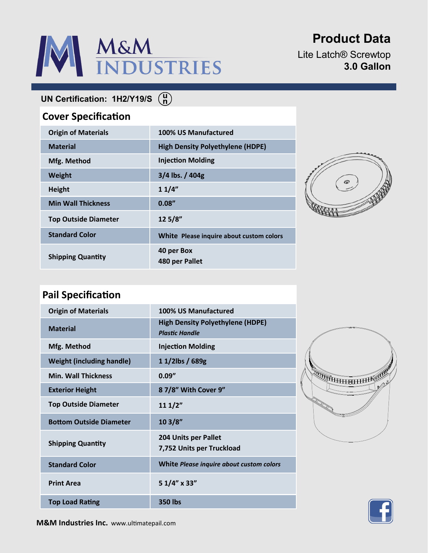# M&M<br>INDUSTRIES

# **Product Data**

Lite Latch® Screwtop **3.0 Gallon**

**UN Certification: 1H2/Y19/S**

## **Cover Specification**

| <b>Origin of Materials</b>  | 100% US Manufactured                     |
|-----------------------------|------------------------------------------|
| <b>Material</b>             | <b>High Density Polyethylene (HDPE)</b>  |
| Mfg. Method                 | <b>Injection Molding</b>                 |
| <b>Weight</b>               | $3/4$ lbs. $/404g$                       |
| <b>Height</b>               | 11/4"                                    |
| <b>Min Wall Thickness</b>   | 0.08''                                   |
| <b>Top Outside Diameter</b> | 12 5/8"                                  |
| <b>Standard Color</b>       | White Please inquire about custom colors |
| <b>Shipping Quantity</b>    | 40 per Box<br>480 per Pallet             |



## **Pail Specification**

| <b>Origin of Materials</b>       | 100% US Manufactured                                             |
|----------------------------------|------------------------------------------------------------------|
| <b>Material</b>                  | <b>High Density Polyethylene (HDPE)</b><br><b>Plastic Handle</b> |
| Mfg. Method                      | <b>Injection Molding</b>                                         |
| <b>Weight (including handle)</b> | 11/2lbs / 689g                                                   |
| <b>Min. Wall Thickness</b>       | 0.09''                                                           |
| <b>Exterior Height</b>           | 87/8" With Cover 9"                                              |
| <b>Top Outside Diameter</b>      | 111/2"                                                           |
| <b>Bottom Outside Diameter</b>   | 103/8"                                                           |
| <b>Shipping Quantity</b>         | 204 Units per Pallet<br>7,752 Units per Truckload                |
| <b>Standard Color</b>            | White Please inquire about custom colors                         |
| <b>Print Area</b>                | 51/4" x 33"                                                      |
| <b>Top Load Rating</b>           | 350 lbs                                                          |